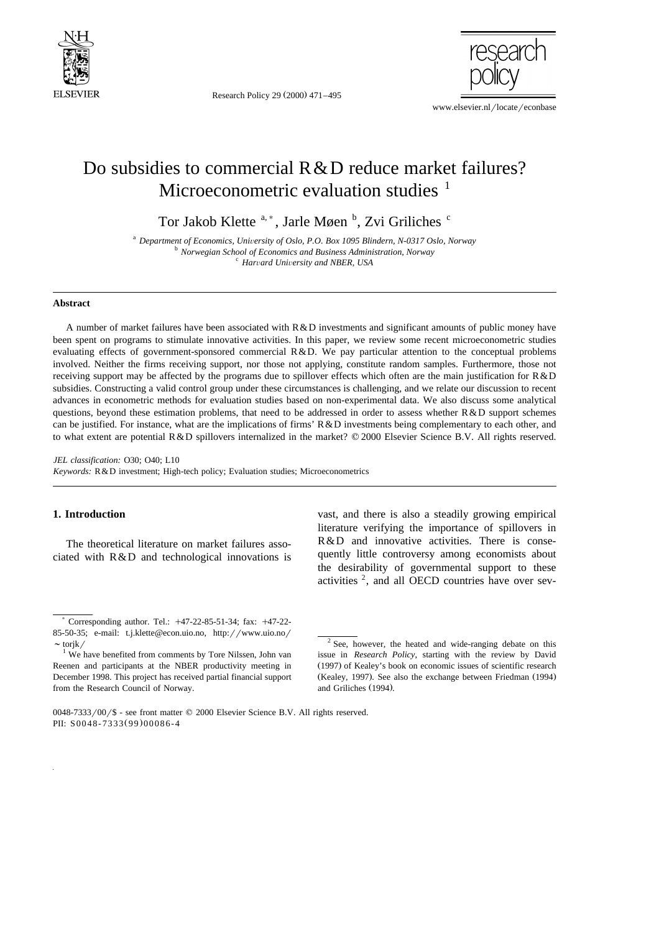

Research Policy 29 (2000) 471-495

www.elsevier.nl/locate/econbase

## Do subsidies to commercial R & D reduce market failures? Microeconometric evaluation studies  $1$

Tor Jakob Klette <sup>a,\*</sup>, Jarle Møen <sup>b</sup>, Zvi Griliches <sup>c</sup>

<sup>a</sup> Department of Economics, University of Oslo, P.O. Box 1095 Blindern, N-0317 Oslo, Norway<br><sup>b</sup> Norwegian School of Economics and Business Administration, Norway<br><sup>6</sup> Harvard University and NBER. USA

## **Abstract**

A number of market failures have been associated with  $R\&D$  investments and significant amounts of public money have been spent on programs to stimulate innovative activities. In this paper, we review some recent microeconometric studies evaluating effects of government-sponsored commercial R&D. We pay particular attention to the conceptual problems involved. Neither the firms receiving support, nor those not applying, constitute random samples. Furthermore, those not receiving support may be affected by the programs due to spillover effects which often are the main justification for  $R\&D$ subsidies. Constructing a valid control group under these circumstances is challenging, and we relate our discussion to recent advances in econometric methods for evaluation studies based on non-experimental data. We also discuss some analytical questions, beyond these estimation problems, that need to be addressed in order to assess whether  $R&D$  support schemes can be justified. For instance, what are the implications of firms' R&D investments being complementary to each other, and to what extent are potential R&D spillovers internalized in the market? © 2000 Elsevier Science B.V. All rights reserved.

*JEL classification:* O30; O40; L10 *Keywords:* R&D investment; High-tech policy; Evaluation studies; Microeconometrics

## **1. Introduction**

The theoretical literature on market failures associated with R&D and technological innovations is

vast, and there is also a steadily growing empirical literature verifying the importance of spillovers in R&D and innovative activities. There is consequently little controversy among economists about the desirability of governmental support to these activities  $2$ , and all OECD countries have over sev-

Corresponding author. Tel.:  $+47-22-85-51-34$ ; fax:  $+47-22-$ 85-50-35; e-mail: t.j.klette@econ.uio.no, http://www.uio.no/  $\sim$  torjk/<br><sup>1</sup> We have benefited from comments by Tore Nilssen, John van

Reenen and participants at the NBER productivity meeting in December 1998. This project has received partial financial support from the Research Council of Norway.

 $2$  See, however, the heated and wide-ranging debate on this issue in *Research Policy*, starting with the review by David (1997) of Kealey's book on economic issues of scientific research (Kealey, 1997). See also the exchange between Friedman (1994) and Griliches (1994).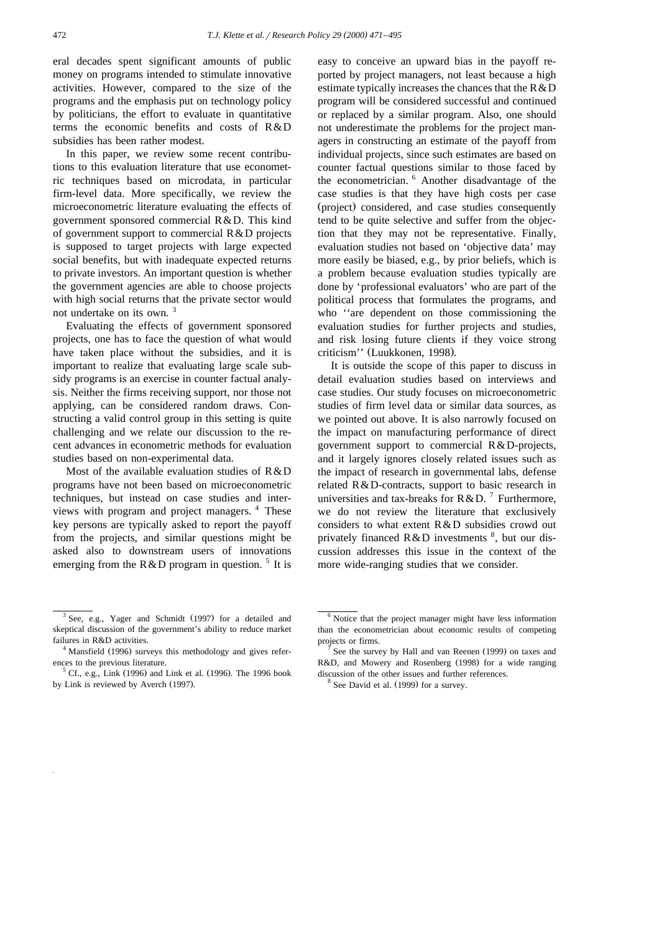eral decades spent significant amounts of public money on programs intended to stimulate innovative activities. However, compared to the size of the programs and the emphasis put on technology policy by politicians, the effort to evaluate in quantitative terms the economic benefits and costs of R&D subsidies has been rather modest.

In this paper, we review some recent contributions to this evaluation literature that use econometric techniques based on microdata, in particular firm-level data. More specifically, we review the microeconometric literature evaluating the effects of government sponsored commercial R&D. This kind of government support to commercial R&D projects is supposed to target projects with large expected social benefits, but with inadequate expected returns to private investors. An important question is whether the government agencies are able to choose projects with high social returns that the private sector would not undertake on its own. <sup>3</sup>

Evaluating the effects of government sponsored projects, one has to face the question of what would have taken place without the subsidies, and it is important to realize that evaluating large scale subsidy programs is an exercise in counter factual analysis. Neither the firms receiving support, nor those not applying, can be considered random draws. Constructing a valid control group in this setting is quite challenging and we relate our discussion to the recent advances in econometric methods for evaluation studies based on non-experimental data.

Most of the available evaluation studies of  $R&D$ programs have not been based on microeconometric techniques, but instead on case studies and interviews with program and project managers.<sup>4</sup> These key persons are typically asked to report the payoff from the projects, and similar questions might be asked also to downstream users of innovations emerging from the  $R & D$  program in question.<sup>5</sup> It is easy to conceive an upward bias in the payoff reported by project managers, not least because a high estimate typically increases the chances that the  $R & D$ program will be considered successful and continued or replaced by a similar program. Also, one should not underestimate the problems for the project managers in constructing an estimate of the payoff from individual projects, since such estimates are based on counter factual questions similar to those faced by the econometrician. <sup>6</sup> Another disadvantage of the case studies is that they have high costs per case (project) considered, and case studies consequently tend to be quite selective and suffer from the objection that they may not be representative. Finally, evaluation studies not based on 'objective data' may more easily be biased, e.g., by prior beliefs, which is a problem because evaluation studies typically are done by 'professional evaluators' who are part of the political process that formulates the programs, and who ''are dependent on those commissioning the evaluation studies for further projects and studies, and risk losing future clients if they voice strong criticism'' (Luukkonen, 1998).

It is outside the scope of this paper to discuss in detail evaluation studies based on interviews and case studies. Our study focuses on microeconometric studies of firm level data or similar data sources, as we pointed out above. It is also narrowly focused on the impact on manufacturing performance of direct government support to commercial R&D-projects, and it largely ignores closely related issues such as the impact of research in governmental labs, defense related R&D-contracts, support to basic research in universities and tax-breaks for  $R & D$ . <sup>7</sup> Furthermore, we do not review the literature that exclusively considers to what extent R&D subsidies crowd out privately financed  $R & D$  investments  $\delta$ , but our discussion addresses this issue in the context of the more wide-ranging studies that we consider.

 $3$  See, e.g., Yager and Schmidt (1997) for a detailed and skeptical discussion of the government's ability to reduce market failures in R&D activities.<br><sup>4</sup> Mansfield (1996) surveys this methodology and gives refer-

ences to the previous literature.<br> $5$  Cf., e.g., Link (1996) and Link et al. (1996). The 1996 book

by Link is reviewed by Averch (1997).

<sup>&</sup>lt;sup>6</sup> Notice that the project manager might have less information than the econometrician about economic results of competing projects or firms.<br> $\frac{7}{3}$  See the survey by Hall and van Reenen (1999) on taxes and

R&D, and Mowery and Rosenberg (1998) for a wide ranging discussion of the other issues and further references.<br><sup>8</sup> See David et al. (1999) for a survey.